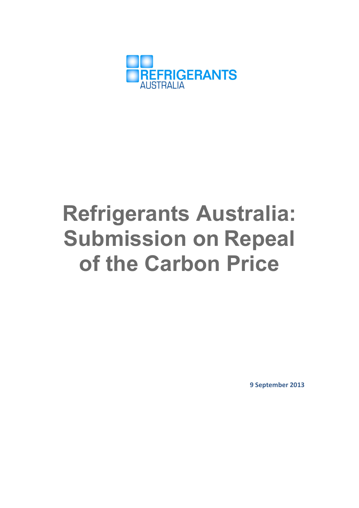

# **Refrigerants Australia: Submission on Repeal of the Carbon Price**

**9 September 2013**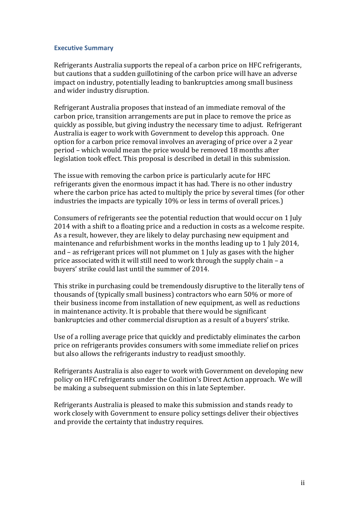#### **Executive Summary**

Refrigerants Australia supports the repeal of a carbon price on HFC refrigerants, but cautions that a sudden guillotining of the carbon price will have an adverse impact on industry, potentially leading to bankruptcies among small business and wider industry disruption.

Refrigerant Australia proposes that instead of an immediate removal of the carbon price, transition arrangements are put in place to remove the price as quickly as possible, but giving industry the necessary time to adjust. Refrigerant Australia is eager to work with Government to develop this approach. One option for a carbon price removal involves an averaging of price over a 2 year period – which would mean the price would be removed 18 months after legislation took effect. This proposal is described in detail in this submission.

The issue with removing the carbon price is particularly acute for HFC refrigerants given the enormous impact it has had. There is no other industry where the carbon price has acted to multiply the price by several times (for other industries the impacts are typically 10% or less in terms of overall prices.)

Consumers of refrigerants see the potential reduction that would occur on 1 July 2014 with a shift to a floating price and a reduction in costs as a welcome respite. As a result, however, they are likely to delay purchasing new equipment and maintenance and refurbishment works in the months leading up to 1 July 2014, and  $-$  as refrigerant prices will not plummet on 1 July as gases with the higher price associated with it will still need to work through the supply chain  $-$  a buyers' strike could last until the summer of 2014.

This strike in purchasing could be tremendously disruptive to the literally tens of thousands of (typically small business) contractors who earn 50% or more of their business income from installation of new equipment, as well as reductions in maintenance activity. It is probable that there would be significant bankruptcies and other commercial disruption as a result of a buyers' strike.

Use of a rolling average price that quickly and predictably eliminates the carbon price on refrigerants provides consumers with some immediate relief on prices but also allows the refrigerants industry to readjust smoothly.

Refrigerants Australia is also eager to work with Government on developing new policy on HFC refrigerants under the Coalition's Direct Action approach. We will be making a subsequent submission on this in late September.

Refrigerants Australia is pleased to make this submission and stands ready to work closely with Government to ensure policy settings deliver their objectives and provide the certainty that industry requires.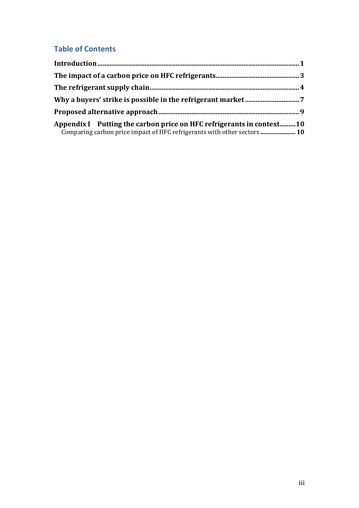# **Table of Contents**

| Appendix I Putting the carbon price on HFC refrigerants in context10<br>Comparing carbon price impact of HFC refrigerants with other sectors  10 |  |  |  |
|--------------------------------------------------------------------------------------------------------------------------------------------------|--|--|--|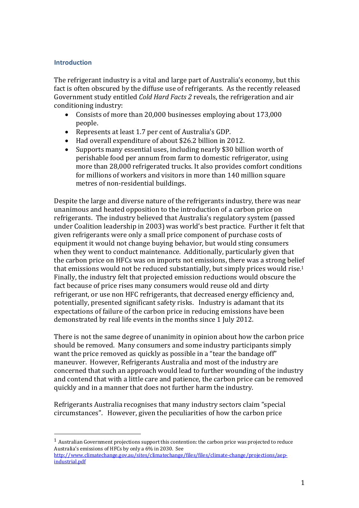# **Introduction**

The refrigerant industry is a vital and large part of Australia's economy, but this fact is often obscured by the diffuse use of refrigerants. As the recently released Government study entitled *Cold Hard Facts 2* reveals, the refrigeration and air conditioning industry:

- Consists of more than 20,000 businesses employing about 173,000 people.
- Represents at least 1.7 per cent of Australia's GDP.
- Had overall expenditure of about \$26.2 billion in 2012.
- Supports many essential uses, including nearly \$30 billion worth of perishable food per annum from farm to domestic refrigerator, using more than 28,000 refrigerated trucks. It also provides comfort conditions for millions of workers and visitors in more than 140 million square metres of non-residential buildings.

Despite the large and diverse nature of the refrigerants industry, there was near unanimous and heated opposition to the introduction of a carbon price on refrigerants. The industry believed that Australia's regulatory system (passed under Coalition leadership in 2003) was world's best practice. Further it felt that given refrigerants were only a small price component of purchase costs of equipment it would not change buying behavior, but would sting consumers when they went to conduct maintenance. Additionally, particularly given that the carbon price on HFCs was on imports not emissions, there was a strong belief that emissions would not be reduced substantially, but simply prices would rise.<sup>1</sup> Finally, the industry felt that projected emission reductions would obscure the fact because of price rises many consumers would reuse old and dirty refrigerant, or use non HFC refrigerants, that decreased energy efficiency and, potentially, presented significant safety risks. Industry is adamant that its expectations of failure of the carbon price in reducing emissions have been demonstrated by real life events in the months since 1 July 2012.

There is not the same degree of unanimity in opinion about how the carbon price should be removed. Many consumers and some industry participants simply want the price removed as quickly as possible in a "tear the bandage off" maneuver. However, Refrigerants Australia and most of the industry are concerned that such an approach would lead to further wounding of the industry and contend that with a little care and patience, the carbon price can be removed quickly and in a manner that does not further harm the industry.

Refrigerants Australia recognises that many industry sectors claim "special circumstances". However, given the peculiarities of how the carbon price

 

 $<sup>1</sup>$  Australian Government projections support this contention: the carbon price was projected to reduce</sup> Australia's emissions of HFCs by only a 6% in 2030. See

http://www.climatechange.gov.au/sites/climatechange/files/files/climate-change/projections/aepindustrial.pdf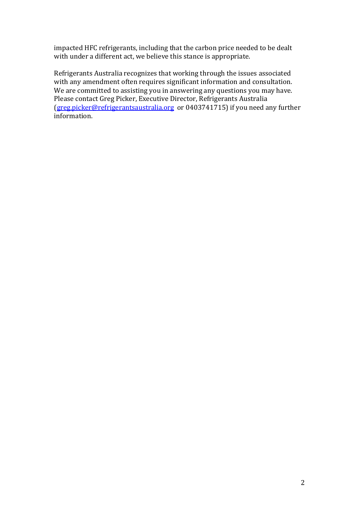impacted HFC refrigerants, including that the carbon price needed to be dealt with under a different act, we believe this stance is appropriate.

Refrigerants Australia recognizes that working through the issues associated with any amendment often requires significant information and consultation. We are committed to assisting you in answering any questions you may have. Please contact Greg Picker, Executive Director, Refrigerants Australia (greg.picker@refrigerantsaustralia.org or 0403741715) if you need any further information.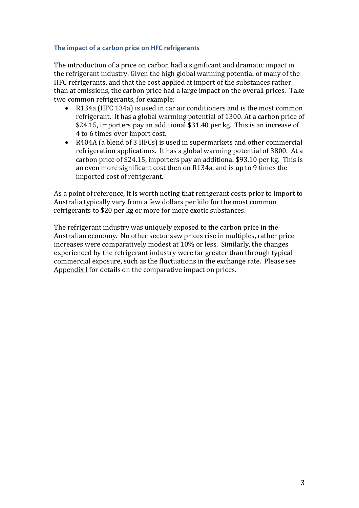# **The impact of a carbon price on HFC refrigerants**

The introduction of a price on carbon had a significant and dramatic impact in the refrigerant industry. Given the high global warming potential of many of the HFC refrigerants, and that the cost applied at import of the substances rather than at emissions, the carbon price had a large impact on the overall prices. Take two common refrigerants, for example:

- R134a (HFC 134a) is used in car air conditioners and is the most common refrigerant. It has a global warming potential of 1300. At a carbon price of  $$24.15$ , importers pay an additional  $$31.40$  per kg. This is an increase of 4 to 6 times over import cost.
- R404A (a blend of 3 HFCs) is used in supermarkets and other commercial refrigeration applications. It has a global warming potential of 3800. At a carbon price of \$24.15, importers pay an additional \$93.10 per  $kg$ . This is an even more significant cost then on R134a, and is up to 9 times the imported cost of refrigerant.

As a point of reference, it is worth noting that refrigerant costs prior to import to Australia typically vary from a few dollars per kilo for the most common refrigerants to \$20 per kg or more for more exotic substances.

The refrigerant industry was uniquely exposed to the carbon price in the Australian economy. No other sector saw prices rise in multiples, rather price increases were comparatively modest at 10% or less. Similarly, the changes experienced by the refrigerant industry were far greater than through typical commercial exposure, such as the fluctuations in the exchange rate. Please see Appendix  $I$  for details on the comparative impact on prices.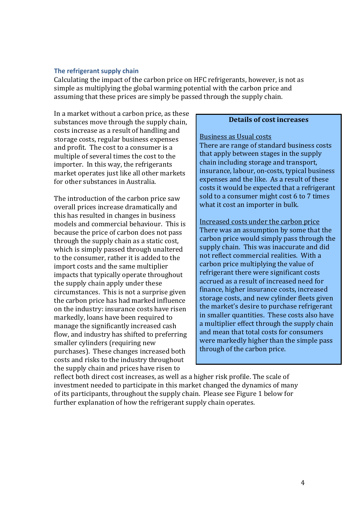#### **The refrigerant supply chain**

Calculating the impact of the carbon price on HFC refrigerants, however, is not as simple as multiplying the global warming potential with the carbon price and assuming that these prices are simply be passed through the supply chain.

In a market without a carbon price, as these substances move through the supply chain, costs increase as a result of handling and storage costs, regular business expenses and profit. The cost to a consumer is a multiple of several times the cost to the importer. In this way, the refrigerants market operates just like all other markets for other substances in Australia.

The introduction of the carbon price saw overall prices increase dramatically and this has resulted in changes in business models and commercial behaviour. This is because the price of carbon does not pass through the supply chain as a static cost, which is simply passed through unaltered to the consumer, rather it is added to the import costs and the same multiplier impacts that typically operate throughout the supply chain apply under these circumstances. This is not a surprise given the carbon price has had marked influence on the industry: insurance costs have risen markedly, loans have been required to manage the significantly increased cash flow, and industry has shifted to preferring smaller cylinders (requiring new purchases). These changes increased both costs and risks to the industry throughout the supply chain and prices have risen to

# **Details of cost increases**

#### Business as Usual costs

There are range of standard business costs that apply between stages in the supply chain including storage and transport. insurance, labour, on-costs, typical business expenses and the like. As a result of these costs it would be expected that a refrigerant sold to a consumer might cost 6 to 7 times what it cost an importer in bulk.

Increased costs under the carbon price There was an assumption by some that the carbon price would simply pass through the supply chain. This was inaccurate and did not reflect commercial realities. With a carbon price multiplying the value of refrigerant there were significant costs accrued as a result of increased need for finance, higher insurance costs, increased storage costs, and new cylinder fleets given the market's desire to purchase refrigerant in smaller quantities. These costs also have a multiplier effect through the supply chain and mean that total costs for consumers were markedly higher than the simple pass through of the carbon price.

reflect both direct cost increases, as well as a higher risk profile. The scale of investment needed to participate in this market changed the dynamics of many of its participants, throughout the supply chain. Please see Figure 1 below for further explanation of how the refrigerant supply chain operates.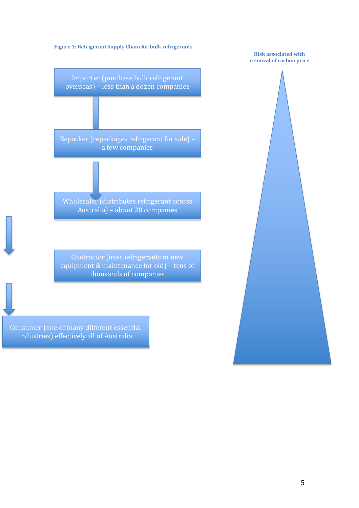

Consumer (one of many different essential industries) effectively all of Australia

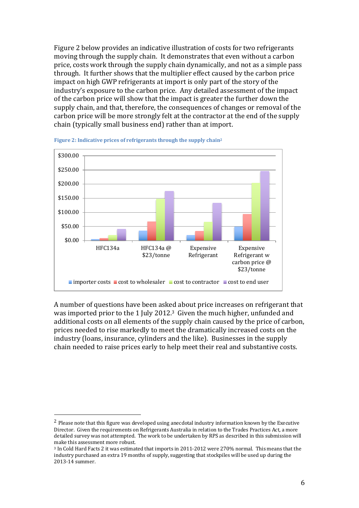Figure 2 below provides an indicative illustration of costs for two refrigerants moving through the supply chain. It demonstrates that even without a carbon price, costs work through the supply chain dynamically, and not as a simple pass through. It further shows that the multiplier effect caused by the carbon price impact on high GWP refrigerants at import is only part of the story of the industry's exposure to the carbon price. Any detailed assessment of the impact of the carbon price will show that the impact is greater the further down the supply chain, and that, therefore, the consequences of changes or removal of the carbon price will be more strongly felt at the contractor at the end of the supply chain (typically small business end) rather than at import.



Figure 2: Indicative prices of refrigerants through the supply chain<sup>2</sup>

A number of questions have been asked about price increases on refrigerant that was imported prior to the 1 July 2012.<sup>3</sup> Given the much higher, unfunded and additional costs on all elements of the supply chain caused by the price of carbon, prices needed to rise markedly to meet the dramatically increased costs on the industry (loans, insurance, cylinders and the like). Businesses in the supply chain needed to raise prices early to help meet their real and substantive costs.

 

<sup>&</sup>lt;sup>2</sup> Please note that this figure was developed using anecdotal industry information known by the Executive Director. Given the requirements on Refrigerants Australia in relation to the Trades Practices Act, a more detailed survey was not attempted. The work to be undertaken by RPS as described in this submission will make this assessment more robust.

<sup>&</sup>lt;sup>3</sup> In Cold Hard Facts 2 it was estimated that imports in 2011-2012 were 270% normal. This means that the industry purchased an extra 19 months of supply, suggesting that stockpiles will be used up during the 2013-14 summer.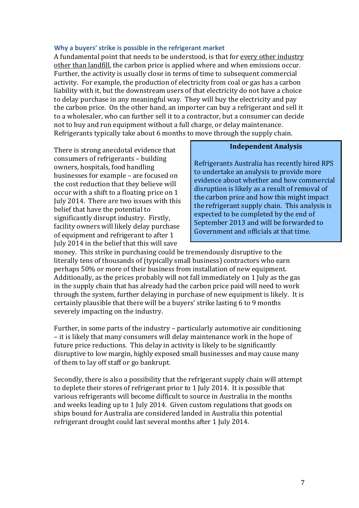#### **Why a buyers' strike is possible in the refrigerant market**

A fundamental point that needs to be understood, is that for every other industry other than landfill, the carbon price is applied where and when emissions occur. Further, the activity is usually close in terms of time to subsequent commercial activity. For example, the production of electricity from coal or gas has a carbon liability with it, but the downstream users of that electricity do not have a choice to delay purchase in any meaningful way. They will buy the electricity and pay the carbon price. On the other hand, an importer can buy a refrigerant and sell it to a wholesaler, who can further sell it to a contractor, but a consumer can decide not to buy and run equipment without a full charge, or delay maintenance. Refrigerants typically take about 6 months to move through the supply chain.

There is strong anecdotal evidence that consumers of refrigerants - building owners, hospitals, food handling businesses for example - are focused on the cost reduction that they believe will occur with a shift to a floating price on 1 July 2014. There are two issues with this belief that have the potential to significantly disrupt industry. Firstly, facility owners will likely delay purchase of equipment and refrigerant to after 1 July 2014 in the belief that this will save 

#### **Independent Analysis**

Refrigerants Australia has recently hired RPS to undertake an analysis to provide more evidence about whether and how commercial disruption is likely as a result of removal of the carbon price and how this might impact the refrigerant supply chain. This analysis is expected to be completed by the end of September 2013 and will be forwarded to Government and officials at that time.

money. This strike in purchasing could be tremendously disruptive to the literally tens of thousands of (typically small business) contractors who earn perhaps 50% or more of their business from installation of new equipment. Additionally, as the prices probably will not fall immediately on 1 July as the gas in the supply chain that has already had the carbon price paid will need to work through the system, further delaying in purchase of new equipment is likely. It is certainly plausible that there will be a buyers' strike lasting 6 to 9 months severely impacting on the industry.

Further, in some parts of the industry  $-$  particularly automotive air conditioning – it is likely that many consumers will delay maintenance work in the hope of future price reductions. This delay in activity is likely to be significantly disruptive to low margin, highly exposed small businesses and may cause many of them to lay off staff or go bankrupt.

Secondly, there is also a possibility that the refrigerant supply chain will attempt to deplete their stores of refrigerant prior to 1 July 2014. It is possible that various refrigerants will become difficult to source in Australia in the months and weeks leading up to 1 July 2014. Given custom regulations that goods on ships bound for Australia are considered landed in Australia this potential refrigerant drought could last several months after 1 July 2014.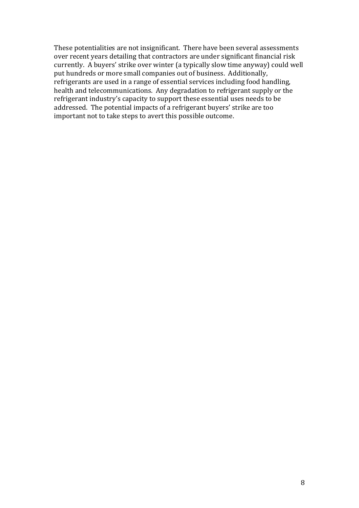These potentialities are not insignificant. There have been several assessments over recent years detailing that contractors are under significant financial risk currently. A buyers' strike over winter (a typically slow time anyway) could well put hundreds or more small companies out of business. Additionally, refrigerants are used in a range of essential services including food handling, health and telecommunications. Any degradation to refrigerant supply or the refrigerant industry's capacity to support these essential uses needs to be addressed. The potential impacts of a refrigerant buyers' strike are too important not to take steps to avert this possible outcome.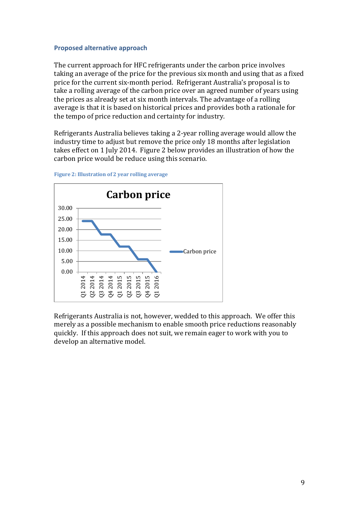# **Proposed alternative approach**

The current approach for HFC refrigerants under the carbon price involves taking an average of the price for the previous six month and using that as a fixed price for the current six-month period. Refrigerant Australia's proposal is to take a rolling average of the carbon price over an agreed number of years using the prices as already set at six month intervals. The advantage of a rolling average is that it is based on historical prices and provides both a rationale for the tempo of price reduction and certainty for industry.

Refrigerants Australia believes taking a 2-year rolling average would allow the industry time to adjust but remove the price only 18 months after legislation takes effect on 1 July 2014. Figure 2 below provides an illustration of how the carbon price would be reduce using this scenario.





Refrigerants Australia is not, however, wedded to this approach. We offer this merely as a possible mechanism to enable smooth price reductions reasonably quickly. If this approach does not suit, we remain eager to work with you to develop an alternative model.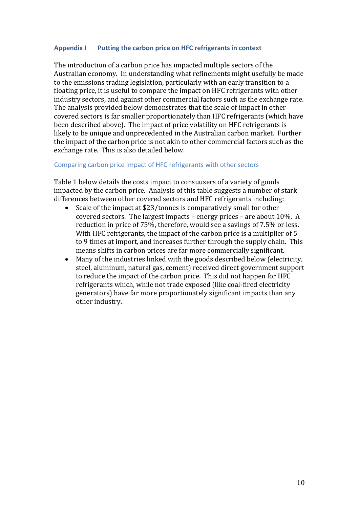# **Appendix I Putting the carbon price on HFC refrigerants in context**

The introduction of a carbon price has impacted multiple sectors of the Australian economy. In understanding what refinements might usefully be made to the emissions trading legislation, particularly with an early transition to a floating price, it is useful to compare the impact on HFC refrigerants with other industry sectors, and against other commercial factors such as the exchange rate. The analysis provided below demonstrates that the scale of impact in other covered sectors is far smaller proportionately than HFC refrigerants (which have been described above). The impact of price volatility on HFC refrigerants is likely to be unique and unprecedented in the Australian carbon market. Further the impact of the carbon price is not akin to other commercial factors such as the exchange rate. This is also detailed below.

# Comparing carbon price impact of HFC refrigerants with other sectors

Table 1 below details the costs impact to consuusers of a variety of goods impacted by the carbon price. Analysis of this table suggests a number of stark differences between other covered sectors and HFC refrigerants including:

- Scale of the impact at  $$23/tonnes$  is comparatively small for other covered sectors. The largest impacts – energy prices – are about  $10\%$ . A reduction in price of 75%, therefore, would see a savings of 7.5% or less. With HFC refrigerants, the impact of the carbon price is a multiplier of 5 to 9 times at import, and increases further through the supply chain. This means shifts in carbon prices are far more commercially significant.
- Many of the industries linked with the goods described below (electricity, steel, aluminum, natural gas, cement) received direct government support to reduce the impact of the carbon price. This did not happen for HFC refrigerants which, while not trade exposed (like coal-fired electricity generators) have far more proportionately significant impacts than any other industry.